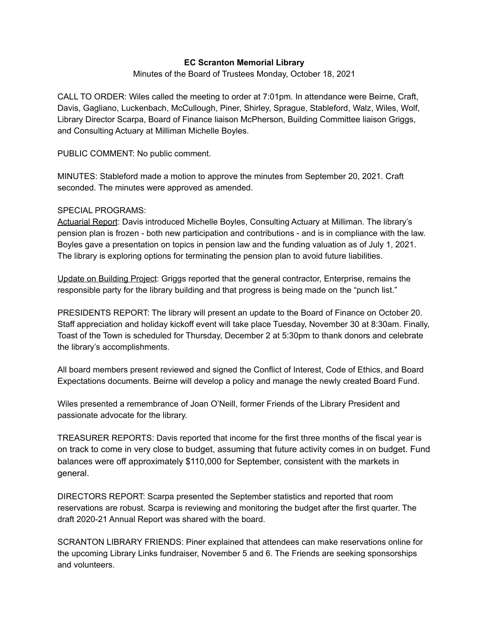# **EC Scranton Memorial Library**

## Minutes of the Board of Trustees Monday, October 18, 2021

CALL TO ORDER: Wiles called the meeting to order at 7:01pm. In attendance were Beirne, Craft, Davis, Gagliano, Luckenbach, McCullough, Piner, Shirley, Sprague, Stableford, Walz, Wiles, Wolf, Library Director Scarpa, Board of Finance liaison McPherson, Building Committee liaison Griggs, and Consulting Actuary at Milliman Michelle Boyles.

PUBLIC COMMENT: No public comment.

MINUTES: Stableford made a motion to approve the minutes from September 20, 2021. Craft seconded. The minutes were approved as amended.

## SPECIAL PROGRAMS:

Actuarial Report: Davis introduced Michelle Boyles, Consulting Actuary at Milliman. The library's pension plan is frozen - both new participation and contributions - and is in compliance with the law. Boyles gave a presentation on topics in pension law and the funding valuation as of July 1, 2021. The library is exploring options for terminating the pension plan to avoid future liabilities.

Update on Building Project: Griggs reported that the general contractor, Enterprise, remains the responsible party for the library building and that progress is being made on the "punch list."

PRESIDENTS REPORT: The library will present an update to the Board of Finance on October 20. Staff appreciation and holiday kickoff event will take place Tuesday, November 30 at 8:30am. Finally, Toast of the Town is scheduled for Thursday, December 2 at 5:30pm to thank donors and celebrate the library's accomplishments.

All board members present reviewed and signed the Conflict of Interest, Code of Ethics, and Board Expectations documents. Beirne will develop a policy and manage the newly created Board Fund.

Wiles presented a remembrance of Joan O'Neill, former Friends of the Library President and passionate advocate for the library.

TREASURER REPORTS: Davis reported that income for the first three months of the fiscal year is on track to come in very close to budget, assuming that future activity comes in on budget. Fund balances were off approximately \$110,000 for September, consistent with the markets in general.

DIRECTORS REPORT: Scarpa presented the September statistics and reported that room reservations are robust. Scarpa is reviewing and monitoring the budget after the first quarter. The draft 2020-21 Annual Report was shared with the board.

SCRANTON LIBRARY FRIENDS: Piner explained that attendees can make reservations online for the upcoming Library Links fundraiser, November 5 and 6. The Friends are seeking sponsorships and volunteers.